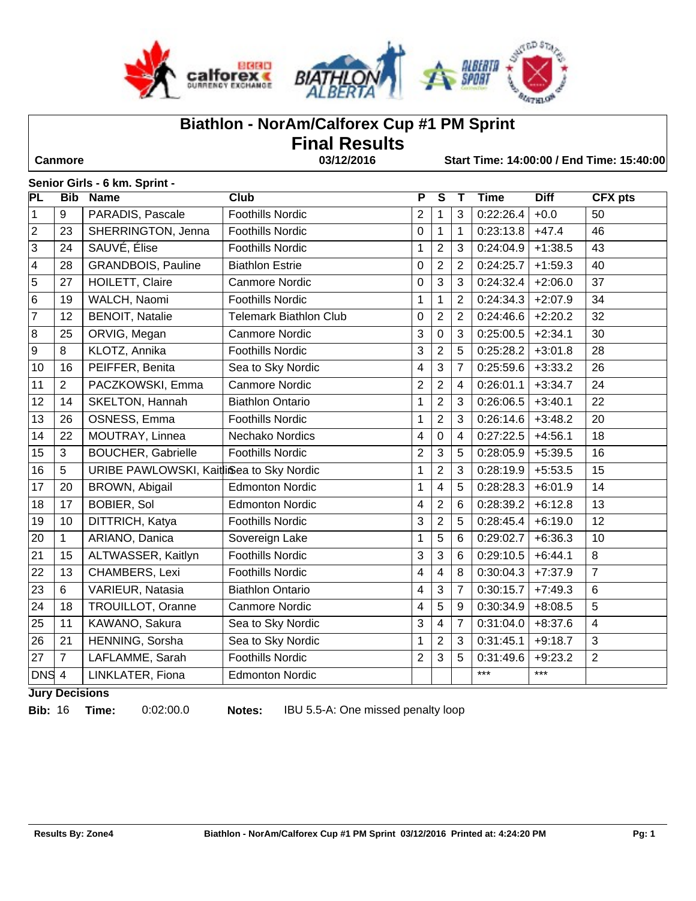



# **Biathlon - NorAm/Calforex Cup #1 PM Sprint**

**Final Results** 

 **Canmore 03/12/2016 Start Time: 14:00:00 / End Time: 15:40:00**

#### **Senior Girls - 6 km. Sprint -**

| PL                      | <b>Bib</b>       | <b>Name</b>                              | $\overline{\text{Club}}$      | P              | $\overline{\mathsf{s}}$  | Т              | <b>Time</b> | <b>Diff</b> | <b>CFX</b> pts  |
|-------------------------|------------------|------------------------------------------|-------------------------------|----------------|--------------------------|----------------|-------------|-------------|-----------------|
| $\mathbf 1$             | 9                | PARADIS, Pascale                         | <b>Foothills Nordic</b>       | $\overline{2}$ | $\mathbf{1}$             | 3              | 0:22:26.4   | $+0.0$      | 50              |
| $\sqrt{2}$              | 23               | SHERRINGTON, Jenna                       | <b>Foothills Nordic</b>       | 0              | $\mathbf{1}$             | 1              | 0:23:13.8   | $+47.4$     | 46              |
| $\sqrt{3}$              | 24               | SAUVÉ, Élise                             | <b>Foothills Nordic</b>       | 1              | $\overline{2}$           | $\mathbf{3}$   | 0:24:04.9   | $+1:38.5$   | 43              |
| $\overline{\mathbf{4}}$ | 28               | <b>GRANDBOIS, Pauline</b>                | <b>Biathlon Estrie</b>        | 0              | $\boldsymbol{2}$         | $\overline{2}$ | 0:24:25.7   | $+1:59.3$   | 40              |
| $\overline{5}$          | 27               | HOILETT, Claire                          | <b>Canmore Nordic</b>         | 0              | $\overline{3}$           | 3              | 0:24:32.4   | $+2:06.0$   | 37              |
| $\,6\,$                 | 19               | WALCH, Naomi                             | <b>Foothills Nordic</b>       | 1              | $\mathbf{1}$             | 2              | 0:24:34.3   | $+2:07.9$   | 34              |
| $\overline{7}$          | 12               | <b>BENOIT, Natalie</b>                   | <b>Telemark Biathlon Club</b> | 0              | $\overline{2}$           | $\overline{2}$ | 0:24:46.6   | $+2:20.2$   | 32              |
| 8                       | 25               | ORVIG, Megan                             | <b>Canmore Nordic</b>         | 3              | $\mathbf 0$              | 3              | 0:25:00.5   | $+2:34.1$   | 30              |
| $\boldsymbol{9}$        | 8                | KLOTZ, Annika                            | <b>Foothills Nordic</b>       | 3              | $\overline{2}$           | 5              | 0:25:28.2   | $+3:01.8$   | 28              |
| 10                      | 16               | PEIFFER, Benita                          | Sea to Sky Nordic             | 4              | $\overline{3}$           | 7              | 0:25:59.6   | $+3:33.2$   | 26              |
| 11                      | $\boldsymbol{2}$ | PACZKOWSKI, Emma                         | <b>Canmore Nordic</b>         | 2              | $\boldsymbol{2}$         | 4              | 0:26:01.1   | $+3:34.7$   | 24              |
| $\overline{12}$         | 14               | SKELTON, Hannah                          | <b>Biathlon Ontario</b>       | $\mathbf 1$    | $\overline{2}$           | $\mathbf{3}$   | 0:26:06.5   | $+3:40.1$   | $\overline{22}$ |
| 13                      | 26               | OSNESS, Emma                             | <b>Foothills Nordic</b>       | 1              | $\overline{2}$           | 3              | 0:26:14.6   | $+3:48.2$   | 20              |
| 14                      | 22               | MOUTRAY, Linnea                          | Nechako Nordics               | 4              | $\mathbf 0$              | $\overline{4}$ | 0:27:22.5   | $+4:56.1$   | 18              |
| 15                      | $\mathfrak{S}$   | <b>BOUCHER, Gabrielle</b>                | <b>Foothills Nordic</b>       | $\overline{2}$ | $\mathbf{3}$             | 5              | 0:28:05.9   | $+5:39.5$   | 16              |
| 16                      | $\overline{5}$   | URIBE PAWLOWSKI, KaitliSea to Sky Nordic |                               | 1              | $\overline{2}$           | 3              | 0:28:19.9   | $+5:53.5$   | 15              |
| 17                      | 20               | BROWN, Abigail                           | <b>Edmonton Nordic</b>        | 1              | $\overline{4}$           | 5              | 0:28:28.3   | $+6:01.9$   | 14              |
| 18                      | 17               | <b>BOBIER, Sol</b>                       | <b>Edmonton Nordic</b>        | 4              | $\overline{2}$           | 6              | 0:28:39.2   | $+6:12.8$   | 13              |
| 19                      | 10               | <b>DITTRICH, Katya</b>                   | <b>Foothills Nordic</b>       | 3              | $\overline{2}$           | 5              | 0:28:45.4   | $+6:19.0$   | 12              |
| 20                      | $\mathbf{1}$     | ARIANO, Danica                           | Sovereign Lake                | 1              | 5                        | 6              | 0:29:02.7   | $+6:36.3$   | 10              |
| 21                      | 15               | ALTWASSER, Kaitlyn                       | <b>Foothills Nordic</b>       | 3              | $\overline{3}$           | $6\phantom{1}$ | 0:29:10.5   | $+6:44.1$   | 8               |
| 22                      | 13               | CHAMBERS, Lexi                           | <b>Foothills Nordic</b>       | 4              | $\overline{\mathcal{A}}$ | 8              | 0:30:04.3   | $+7:37.9$   | $\overline{7}$  |
| 23                      | $\,6$            | VARIEUR, Natasia                         | <b>Biathlon Ontario</b>       | 4              | $\overline{3}$           | $\overline{7}$ | 0:30:15.7   | $+7:49.3$   | $6\phantom{1}$  |
| 24                      | 18               | TROUILLOT, Oranne                        | Canmore Nordic                | 4              | 5                        | 9              | 0:30:34.9   | $+8:08.5$   | $\overline{5}$  |
| 25                      | 11               | KAWANO, Sakura                           | Sea to Sky Nordic             | 3              | $\overline{\mathbf{4}}$  | $\overline{7}$ | 0:31:04.0   | $+8:37.6$   | $\overline{4}$  |
| 26                      | 21               | HENNING, Sorsha                          | Sea to Sky Nordic             | 1              | $\overline{2}$           | 3              | 0:31:45.1   | $+9:18.7$   | 3               |
| 27                      | $\overline{7}$   | LAFLAMME, Sarah                          | <b>Foothills Nordic</b>       | $\overline{2}$ | 3                        | 5              | 0:31:49.6   | $+9:23.2$   | $\overline{2}$  |
| DNS <sub>4</sub>        |                  | LINKLATER, Fiona                         | <b>Edmonton Nordic</b>        |                |                          |                | $***$       | $***$       |                 |

**Jury Decisions**

**Bib:** 16 **Time:** 0:02:00.0 **Notes:** IBU 5.5-A: One missed penalty loop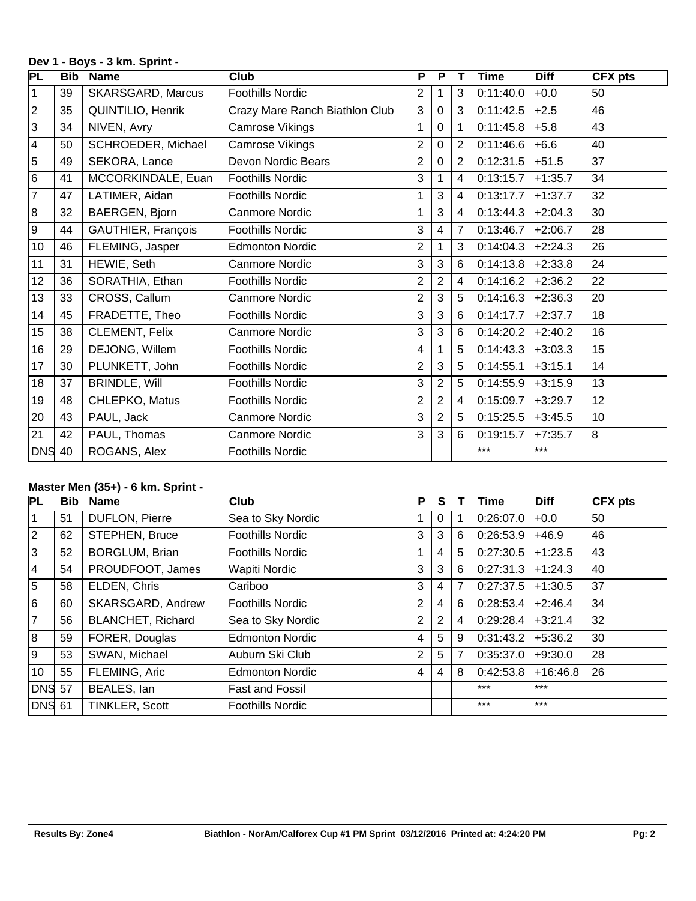#### **Dev 1 - Boys - 3 km. Sprint -**

| PL                      | <b>Bib</b> | <b>Name</b>               | <b>Club</b>                    | P              | $\overline{\mathbf{P}}$ | т              | <b>Time</b> | <b>Diff</b> | <b>CFX</b> pts |
|-------------------------|------------|---------------------------|--------------------------------|----------------|-------------------------|----------------|-------------|-------------|----------------|
| 1                       | 39         | <b>SKARSGARD, Marcus</b>  | Foothills Nordic               | 2              | 1                       | 3              | 0:11:40.0   | $+0.0$      | 50             |
| $\mathbf 2$             | 35         | QUINTILIO, Henrik         | Crazy Mare Ranch Biathlon Club | 3              | $\mathbf 0$             | 3              | 0:11:42.5   | $+2.5$      | 46             |
| $\mathfrak{S}$          | 34         | NIVEN, Avry               | Camrose Vikings                |                | 0                       |                | 0:11:45.8   | $+5.8$      | 43             |
| $\overline{\mathbf{4}}$ | 50         | SCHROEDER, Michael        | Camrose Vikings                | $\overline{2}$ | 0                       | 2              | 0:11:46.6   | $+6.6$      | 40             |
| 5                       | 49         | SEKORA, Lance             | Devon Nordic Bears             | $\overline{2}$ | $\mathbf 0$             | $\overline{2}$ | 0:12:31.5   | $+51.5$     | 37             |
| $\,6$                   | 41         | MCCORKINDALE, Euan        | <b>Foothills Nordic</b>        | 3              | 1                       | 4              | 0:13:15.7   | $+1:35.7$   | 34             |
| $\overline{7}$          | 47         | LATIMER, Aidan            | <b>Foothills Nordic</b>        | 1              | 3                       | 4              | 0:13:17.7   | $+1:37.7$   | 32             |
| $\bf 8$                 | 32         | BAERGEN, Bjorn            | <b>Canmore Nordic</b>          | 1              | 3                       | 4              | 0:13:44.3   | $+2:04.3$   | 30             |
| $\boldsymbol{9}$        | 44         | <b>GAUTHIER, François</b> | <b>Foothills Nordic</b>        | 3              | 4                       | $\overline{7}$ | 0:13:46.7   | $+2:06.7$   | 28             |
| 10                      | 46         | FLEMING, Jasper           | <b>Edmonton Nordic</b>         | $\overline{2}$ |                         | 3              | 0:14:04.3   | $+2:24.3$   | 26             |
| 11                      | 31         | HEWIE, Seth               | Canmore Nordic                 | 3              | 3                       | 6              | 0:14:13.8   | $+2:33.8$   | 24             |
| 12                      | 36         | SORATHIA, Ethan           | <b>Foothills Nordic</b>        | $\overline{2}$ | $\overline{2}$          | 4              | 0:14:16.2   | $+2:36.2$   | 22             |
| 13                      | 33         | CROSS, Callum             | Canmore Nordic                 | $\overline{2}$ | 3                       | 5              | 0:14:16.3   | $+2:36.3$   | 20             |
| 14                      | 45         | FRADETTE, Theo            | <b>Foothills Nordic</b>        | 3              | 3                       | 6              | 0:14:17.7   | $+2:37.7$   | 18             |
| 15                      | 38         | CLEMENT, Felix            | Canmore Nordic                 | 3              | 3                       | 6              | 0:14:20.2   | $+2:40.2$   | 16             |
| 16                      | 29         | DEJONG, Willem            | <b>Foothills Nordic</b>        | 4              | 1                       | 5              | 0:14:43.3   | $+3:03.3$   | 15             |
| 17                      | 30         | PLUNKETT, John            | Foothills Nordic               | 2              | 3                       | 5              | 0:14:55.1   | $+3:15.1$   | 14             |
| 18                      | 37         | <b>BRINDLE, Will</b>      | <b>Foothills Nordic</b>        | 3              | $\overline{2}$          | 5              | 0:14:55.9   | $+3:15.9$   | 13             |
| 19                      | 48         | CHLEPKO, Matus            | <b>Foothills Nordic</b>        | 2              | $\overline{2}$          | 4              | 0:15:09.7   | $+3:29.7$   | 12             |
| 20                      | 43         | PAUL, Jack                | <b>Canmore Nordic</b>          | 3              | 2                       | 5              | 0:15:25.5   | $+3:45.5$   | 10             |
| 21                      | 42         | PAUL, Thomas              | <b>Canmore Nordic</b>          | 3              | 3                       | 6              | 0:19:15.7   | $+7:35.7$   | 8              |
| <b>DNS</b>              | 40         | ROGANS, Alex              | <b>Foothills Nordic</b>        |                |                         |                | $***$       | $***$       |                |

# **Master Men (35+) - 6 km. Sprint -**

| <b>PL</b>      | <b>Bib</b> | <b>Name</b>              | Club                    | Р |                |                | Time      | <b>Diff</b> | <b>CFX pts</b> |
|----------------|------------|--------------------------|-------------------------|---|----------------|----------------|-----------|-------------|----------------|
| 1              | 51         | DUFLON, Pierre           | Sea to Sky Nordic       |   | $\Omega$       |                | 0:26:07.0 | $+0.0$      | 50             |
| $ 2\rangle$    | 62         | STEPHEN, Bruce           | <b>Foothills Nordic</b> | 3 | 3              | 6              | 0:26:53.9 | $+46.9$     | 46             |
| Ιз             | 52         | <b>BORGLUM, Brian</b>    | <b>Foothills Nordic</b> |   | 4              | 5              | 0:27:30.5 | $+1:23.5$   | 43             |
| 4              | 54         | PROUDFOOT, James         | Wapiti Nordic           | 3 | 3              | 6              | 0:27:31.3 | $+1:24.3$   | 40             |
| 5              | 58         | ELDEN, Chris             | Cariboo                 | 3 | 4              | $\overline{7}$ | 0:27:37.5 | $+1:30.5$   | 37             |
| l 6            | 60         | SKARSGARD, Andrew        | <b>Foothills Nordic</b> | 2 | $\overline{4}$ | 6              | 0:28:53.4 | $+2:46.4$   | 34             |
| $\overline{7}$ | 56         | <b>BLANCHET, Richard</b> | Sea to Sky Nordic       | 2 | 2              | 4              | 0:29:28.4 | $+3:21.4$   | 32             |
| 8              | 59         | FORER, Douglas           | <b>Edmonton Nordic</b>  | 4 | 5              | 9              | 0:31:43.2 | $+5:36.2$   | 30             |
| l 9            | 53         | SWAN, Michael            | Auburn Ski Club         | 2 | 5              | $\overline{7}$ | 0:35:37.0 | $+9:30.0$   | 28             |
| 10             | 55         | FLEMING, Aric            | <b>Edmonton Nordic</b>  | 4 | $\overline{4}$ | 8              | 0:42:53.8 | $+16:46.8$  | 26             |
| DNS 57         |            | BEALES, Ian              | Fast and Fossil         |   |                |                | $***$     | $***$       |                |
| <b>DNS 61</b>  |            | TINKLER, Scott           | <b>Foothills Nordic</b> |   |                |                | $***$     | $***$       |                |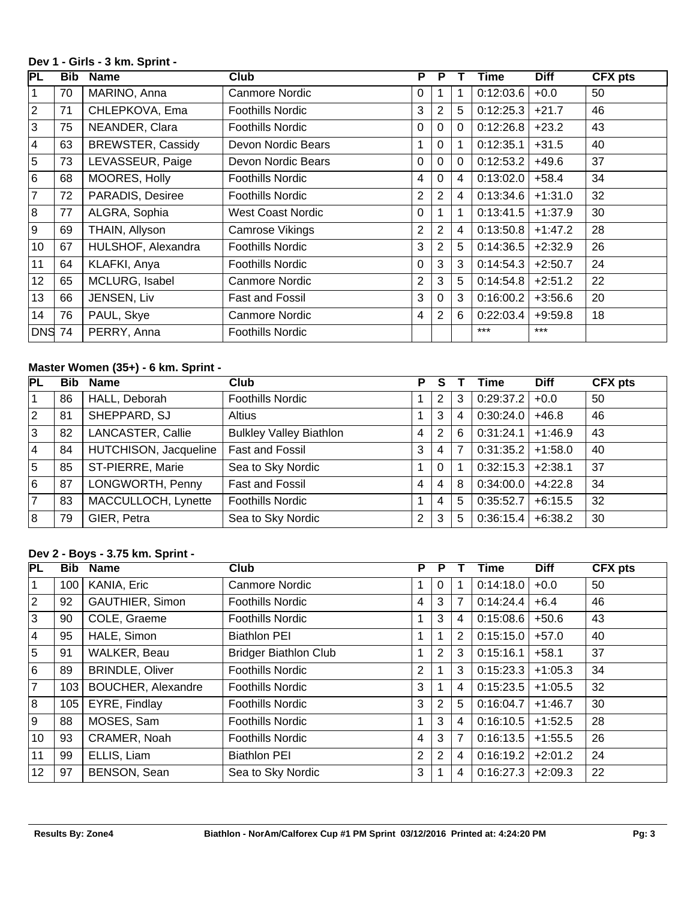#### **Dev 1 - Girls - 3 km. Sprint -**

| PL             | <b>Bib</b> | <b>Name</b>              | Club                     | P              | P            |             | Time      | <b>Diff</b> | <b>CFX pts</b> |
|----------------|------------|--------------------------|--------------------------|----------------|--------------|-------------|-----------|-------------|----------------|
| $\vert$ 1      | 70         | MARINO, Anna             | Canmore Nordic           | $\Omega$       |              | 1           | 0:12:03.6 | $+0.0$      | 50             |
| $\sqrt{2}$     | 71         | CHLEPKOVA, Ema           | <b>Foothills Nordic</b>  | 3              | 2            | 5           | 0:12:25.3 | $+21.7$     | 46             |
| $\overline{3}$ | 75         | NEANDER, Clara           | <b>Foothills Nordic</b>  | $\Omega$       | $\mathbf 0$  | $\mathbf 0$ | 0:12:26.8 | $+23.2$     | 43             |
| 4              | 63         | <b>BREWSTER, Cassidy</b> | Devon Nordic Bears       |                | $\Omega$     |             | 0:12:35.1 | $+31.5$     | 40             |
| 5              | 73         | LEVASSEUR, Paige         | Devon Nordic Bears       | $\Omega$       | $\mathbf{0}$ | 0           | 0:12:53.2 | $+49.6$     | 37             |
| 6              | 68         | MOORES, Holly            | <b>Foothills Nordic</b>  | 4              | $\mathbf 0$  | 4           | 0:13:02.0 | $+58.4$     | 34             |
| 7              | 72         | PARADIS, Desiree         | <b>Foothills Nordic</b>  | $\overline{2}$ | 2            | 4           | 0:13:34.6 | $+1:31.0$   | 32             |
| 8              | 77         | ALGRA, Sophia            | <b>West Coast Nordic</b> | $\Omega$       |              | 1           | 0:13:41.5 | $+1:37.9$   | 30             |
| l 9            | 69         | THAIN, Allyson           | Camrose Vikings          | $\overline{2}$ | 2            | 4           | 0:13:50.8 | $+1:47.2$   | 28             |
| 10             | 67         | HULSHOF, Alexandra       | <b>Foothills Nordic</b>  | 3              | 2            | 5           | 0:14:36.5 | $+2:32.9$   | 26             |
| 11             | 64         | KLAFKI, Anya             | <b>Foothills Nordic</b>  | $\Omega$       | 3            | 3           | 0:14:54.3 | $+2:50.7$   | 24             |
| 12             | 65         | MCLURG, Isabel           | Canmore Nordic           | $\overline{2}$ | 3            | 5           | 0:14:54.8 | $+2:51.2$   | 22             |
| 13             | 66         | JENSEN, Liv              | <b>Fast and Fossil</b>   | 3              | $\Omega$     | 3           | 0:16:00.2 | $+3:56.6$   | 20             |
| 14             | 76         | PAUL, Skye               | Canmore Nordic           | 4              | 2            | 6           | 0:22:03.4 | $+9.59.8$   | 18             |
| DNS 74         |            | PERRY, Anna              | <b>Foothills Nordic</b>  |                |              |             | $***$     | $***$       |                |

# **Master Women (35+) - 6 km. Sprint -**

| PL             | <b>Bib</b> | <b>Name</b>           | Club                           | P              |              |    | Time                | <b>Diff</b> | <b>CFX pts</b> |
|----------------|------------|-----------------------|--------------------------------|----------------|--------------|----|---------------------|-------------|----------------|
|                | 86         | HALL, Deborah         | <b>Foothills Nordic</b>        |                | 2            | 3  | $0:29:37.2$ +0.0    |             | 50             |
| $\overline{2}$ | 81         | SHEPPARD, SJ          | Altius                         |                | 3            | 4  | 0:30:24.0           | $+46.8$     | 46             |
| 3              | 82         | LANCASTER, Callie     | <b>Bulkley Valley Biathlon</b> | 4              | 2            | 6  | 0:31:24.1           | $+1:46.9$   | 43             |
| $\overline{4}$ | 84         | HUTCHISON, Jacqueline | Fast and Fossil                | 3              | 4            | -7 | $0:31:35.2$ +1:58.0 |             | 40             |
| 5              | 85         | ST-PIERRE, Marie      | Sea to Sky Nordic              |                | $\mathbf{0}$ |    | $0:32:15.3$ +2:38.1 |             | 37             |
| 6              | 87         | LONGWORTH, Penny      | Fast and Fossil                | $\overline{4}$ | 4            | 8  | 0:34:00.0           | $+4:22.8$   | 34             |
| $\overline{7}$ | 83         | MACCULLOCH, Lynette   | <b>Foothills Nordic</b>        |                | 4            | 5  | 0:35:52.7           | $+6:15.5$   | 32             |
| 8              | 79         | GIER, Petra           | Sea to Sky Nordic              | $\overline{2}$ | 3            | 5  | 0:36:15.4           | $+6:38.2$   | 30             |

## **Dev 2 - Boys - 3.75 km. Sprint -**

| <b>PL</b>   | <b>Bib</b> | <b>Name</b>               | Club                         | Р |          |   | Time      | <b>Diff</b> | <b>CFX pts</b> |
|-------------|------------|---------------------------|------------------------------|---|----------|---|-----------|-------------|----------------|
| $\vert$ 1   | 100        | KANIA, Eric               | <b>Canmore Nordic</b>        |   | $\Omega$ |   | 0:14:18.0 | $+0.0$      | 50             |
| $ 2\rangle$ | 92         | <b>GAUTHIER, Simon</b>    | <b>Foothills Nordic</b>      | 4 | 3        | 7 | 0:14:24.4 | $+6.4$      | 46             |
| 3           | 90         | COLE, Graeme              | <b>Foothills Nordic</b>      |   | 3        | 4 | 0:15:08.6 | $+50.6$     | 43             |
| 4           | 95         | HALE, Simon               | <b>Biathlon PEI</b>          |   |          | 2 | 0:15:15.0 | $+57.0$     | 40             |
| 5           | 91         | WALKER, Beau              | <b>Bridger Biathlon Club</b> |   | 2        | 3 | 0:15:16.1 | $+58.1$     | 37             |
| 6           | 89         | <b>BRINDLE, Oliver</b>    | <b>Foothills Nordic</b>      | 2 |          | 3 | 0:15:23.3 | $+1:05.3$   | 34             |
| 7           | 103        | <b>BOUCHER, Alexandre</b> | <b>Foothills Nordic</b>      | 3 |          | 4 | 0:15:23.5 | $+1:05.5$   | 32             |
| 8           | 105        | EYRE, Findlay             | <b>Foothills Nordic</b>      | 3 | 2        | 5 | 0:16:04.7 | $+1:46.7$   | 30             |
| l 9         | 88         | MOSES, Sam                | <b>Foothills Nordic</b>      |   | 3        | 4 | 0:16:10.5 | $+1:52.5$   | 28             |
| 10          | 93         | CRAMER, Noah              | <b>Foothills Nordic</b>      | 4 | 3        | 7 | 0:16:13.5 | $+1:55.5$   | 26             |
| 11          | 99         | ELLIS, Liam               | <b>Biathlon PEI</b>          | 2 | 2        | 4 | 0:16:19.2 | $+2:01.2$   | 24             |
| 12          | 97         | BENSON, Sean              | Sea to Sky Nordic            | 3 |          | 4 | 0:16:27.3 | $+2:09.3$   | 22             |